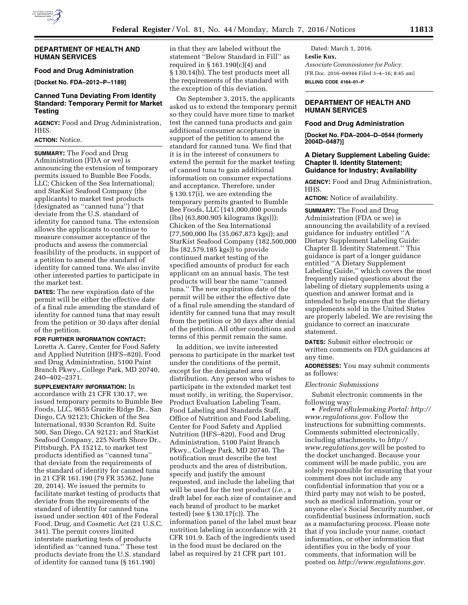#### **DEPARTMENT OF HEALTH AND HUMAN SERVICES**

# **Food and Drug Administration**

**[Docket No. FDA–2012–P–1189]** 

# **Canned Tuna Deviating From Identity Standard: Temporary Permit for Market Testing**

**AGENCY:** Food and Drug Administration, HHS.

## **ACTION:** Notice.

**SUMMARY:** The Food and Drug Administration (FDA or we) is announcing the extension of temporary permits issued to Bumble Bee Foods, LLC; Chicken of the Sea International; and StarKist Seafood Company (the applicants) to market test products (designated as ''canned tuna'') that deviate from the U.S. standard of identity for canned tuna. The extension allows the applicants to continue to measure consumer acceptance of the products and assess the commercial feasibility of the products, in support of a petition to amend the standard of identity for canned tuna. We also invite other interested parties to participate in the market test.

**DATES:** The new expiration date of the permit will be either the effective date of a final rule amending the standard of identity for canned tuna that may result from the petition or 30 days after denial of the petition.

## **FOR FURTHER INFORMATION CONTACT:**

Loretta A. Carey, Center for Food Safety and Applied Nutrition (HFS–820), Food and Drug Administration, 5100 Paint Branch Pkwy., College Park, MD 20740, 240–402–2371.

**SUPPLEMENTARY INFORMATION:** In accordance with 21 CFR 130.17, we issued temporary permits to Bumble Bee Foods, LLC, 9655 Granite Ridge Dr., San Diego, CA 92123; Chicken of the Sea International, 9330 Scranton Rd. Suite 500, San Diego, CA 92121; and StarKist Seafood Company, 225 North Shore Dr., Pittsburgh, PA 15212, to market test products identified as ''canned tuna'' that deviate from the requirements of the standard of identity for canned tuna in 21 CFR 161.190 (79 FR 35362, June 20, 2014). We issued the permits to facilitate market testing of products that deviate from the requirements of the standard of identity for canned tuna issued under section 401 of the Federal Food, Drug, and Cosmetic Act (21 U.S.C. 341). The permit covers limited interstate marketing tests of products identified as ''canned tuna.'' These test products deviate from the U.S. standard of identity for canned tuna (§ 161.190)

in that they are labeled without the statement ''Below Standard in Fill'' as required in § 161.190(c)(4) and § 130.14(b). The test products meet all the requirements of the standard with the exception of this deviation.

On September 3, 2015, the applicants asked us to extend the temporary permit so they could have more time to market test the canned tuna products and gain additional consumer acceptance in support of the petition to amend the standard for canned tuna. We find that it is in the interest of consumers to extend the permit for the market testing of canned tuna to gain additional information on consumer expectations and acceptance. Therefore, under § 130.17(i), we are extending the temporary permits granted to Bumble Bee Foods, LLC (141,000,000 pounds (lbs) (63,800,905 kilograms (kgs))); Chicken of the Sea International (77,500,000 lbs (35,067,873 kgs)); and StarKist Seafood Company (182,500,000 lbs (82,579,185 kgs)) to provide continued market testing of the specified amounts of product for each applicant on an annual basis. The test products will bear the name ''canned tuna.'' The new expiration date of the permit will be either the effective date of a final rule amending the standard of identity for canned tuna that may result from the petition or 30 days after denial of the petition. All other conditions and terms of this permit remain the same.

In addition, we invite interested persons to participate in the market test under the conditions of the permit, except for the designated area of distribution. Any person who wishes to participate in the extended market test must notify, in writing, the Supervisor, Product Evaluation Labeling Team, Food Labeling and Standards Staff, Office of Nutrition and Food Labeling, Center for Food Safety and Applied Nutrition (HFS–820), Food and Drug Administration, 5100 Paint Branch Pkwy., College Park, MD 20740. The notification must describe the test products and the area of distribution, specify and justify the amount requested, and include the labeling that will be used for the test product (*i.e.,* a draft label for each size of container and each brand of product to be market tested) (see § 130.17(c)). The information panel of the label must bear nutrition labeling in accordance with 21 CFR 101.9. Each of the ingredients used in the food must be declared on the label as required by 21 CFR part 101.

Dated: March 1, 2016. **Leslie Kux,**  *Associate Commissioner for Policy.*  [FR Doc. 2016–04944 Filed 3–4–16; 8:45 am] **BILLING CODE 4164–01–P** 

## **DEPARTMENT OF HEALTH AND HUMAN SERVICES**

#### **Food and Drug Administration**

**[Docket No. FDA–2004–D–0544 (formerly 2004D–0487)]** 

#### **A Dietary Supplement Labeling Guide: Chapter II. Identity Statement; Guidance for Industry; Availability**

**AGENCY:** Food and Drug Administration, HHS.

**ACTION:** Notice of availability.

**SUMMARY:** The Food and Drug Administration (FDA or we) is announcing the availability of a revised guidance for industry entitled ''A Dietary Supplement Labeling Guide: Chapter II. Identity Statement.'' This guidance is part of a longer guidance entitled ''A Dietary Supplement Labeling Guide,'' which covers the most frequently raised questions about the labeling of dietary supplements using a question and answer format and is intended to help ensure that the dietary supplements sold in the United States are properly labeled. We are revising the guidance to correct an inaccurate statement.

**DATES:** Submit either electronic or written comments on FDA guidances at any time.

**ADDRESSES:** You may submit comments as follows:

#### *Electronic Submissions*

Submit electronic comments in the following way:

• *Federal eRulemaking Portal: [http://](http://www.regulations.gov)  [www.regulations.gov.](http://www.regulations.gov)* Follow the instructions for submitting comments. Comments submitted electronically, including attachments, to *[http://](http://www.regulations.gov) [www.regulations.gov](http://www.regulations.gov)* will be posted to the docket unchanged. Because your comment will be made public, you are solely responsible for ensuring that your comment does not include any confidential information that you or a third party may not wish to be posted, such as medical information, your or anyone else's Social Security number, or confidential business information, such as a manufacturing process. Please note that if you include your name, contact information, or other information that identifies you in the body of your comments, that information will be posted on *[http://www.regulations.gov.](http://www.regulations.gov)*